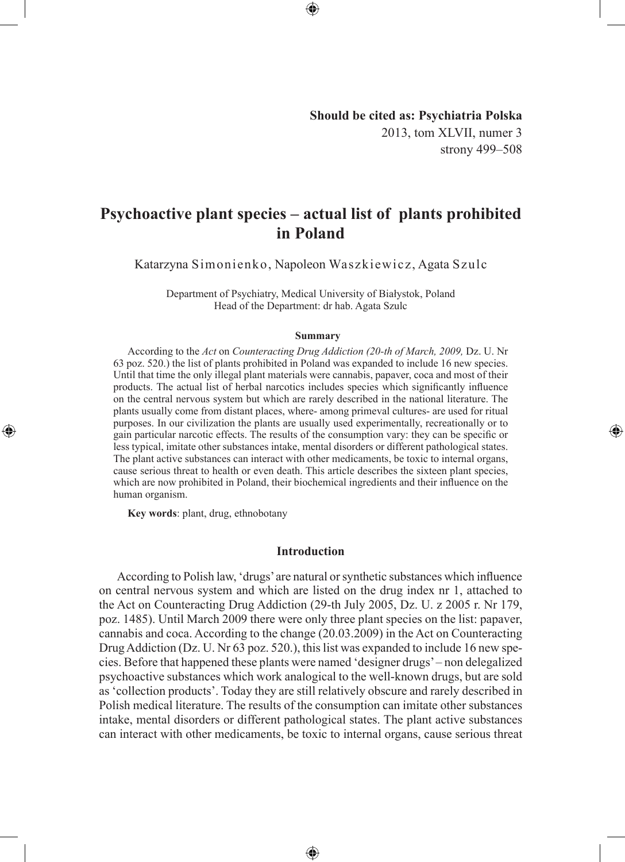## **Should be cited as: Psychiatria Polska** 2013, tom XLVII, numer 3 strony 499–508

◈

# **Psychoactive plant species – actual list of plants prohibited in Poland**

⊕

Katarzyna Simonienko, Napoleon Waszkiewicz, Agata Szulc

Department of Psychiatry, Medical University of Białystok, Poland Head of the Department: dr hab. Agata Szulc

#### **Summary**

According to the *Act* on *Counteracting Drug Addiction (20-th of March, 2009,* Dz. U. Nr 63 poz. 520.) the list of plants prohibited in Poland was expanded to include 16 new species. Until that time the only illegal plant materials were cannabis, papaver, coca and most of their products. The actual list of herbal narcotics includes species which significantly influence on the central nervous system but which are rarely described in the national literature. The plants usually come from distant places, where- among primeval cultures- are used for ritual purposes. In our civilization the plants are usually used experimentally, recreationally or to gain particular narcotic effects. The results of the consumption vary: they can be specific or less typical, imitate other substances intake, mental disorders or different pathological states. The plant active substances can interact with other medicaments, be toxic to internal organs, cause serious threat to health or even death. This article describes the sixteen plant species, which are now prohibited in Poland, their biochemical ingredients and their influence on the human organism.

**Key words**: plant, drug, ethnobotany

◈

### **Introduction**

According to Polish law, 'drugs' are natural or synthetic substances which influence on central nervous system and which are listed on the drug index nr 1, attached to the Act on Counteracting Drug Addiction (29-th July 2005, Dz. U. z 2005 r. Nr 179, poz. 1485). Until March 2009 there were only three plant species on the list: papaver, cannabis and coca. According to the change (20.03.2009) in the Act on Counteracting Drug Addiction (Dz. U. Nr 63 poz. 520.), this list was expanded to include 16 new species. Before that happened these plants were named 'designer drugs' – non delegalized psychoactive substances which work analogical to the well-known drugs, but are sold as 'collection products'. Today they are still relatively obscure and rarely described in Polish medical literature. The results of the consumption can imitate other substances intake, mental disorders or different pathological states. The plant active substances can interact with other medicaments, be toxic to internal organs, cause serious threat

⊕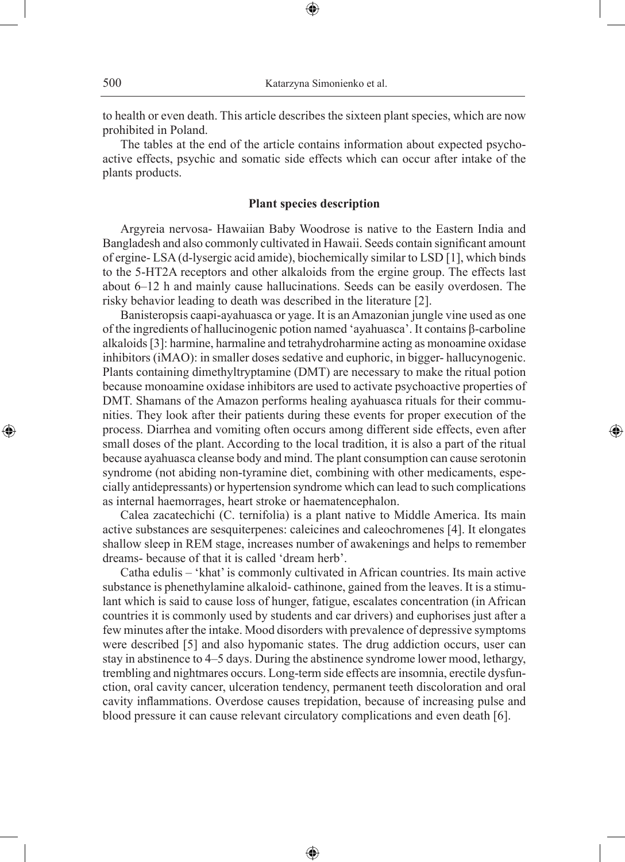to health or even death. This article describes the sixteen plant species, which are now prohibited in Poland.

⊕

The tables at the end of the article contains information about expected psychoactive effects, psychic and somatic side effects which can occur after intake of the plants products.

#### **Plant species description**

Argyreia nervosa- Hawaiian Baby Woodrose is native to the Eastern India and Bangladesh and also commonly cultivated in Hawaii. Seeds contain significant amount of ergine- LSA (d-lysergic acid amide), biochemically similar to LSD [1], which binds to the 5-HT2A receptors and other alkaloids from the ergine group. The effects last about 6–12 h and mainly cause hallucinations. Seeds can be easily overdosen. The risky behavior leading to death was described in the literature [2].

Banisteropsis caapi-ayahuasca or yage. It is an Amazonian jungle vine used as one of the ingredients of hallucinogenic potion named 'ayahuasca'. It contains β-carboline alkaloids [3]: harmine, harmaline and tetrahydroharmine acting as monoamine oxidase inhibitors (iMAO): in smaller doses sedative and euphoric, in bigger- hallucynogenic. Plants containing dimethyltryptamine (DMT) are necessary to make the ritual potion because monoamine oxidase inhibitors are used to activate psychoactive properties of DMT. Shamans of the Amazon performs healing ayahuasca rituals for their communities. They look after their patients during these events for proper execution of the process. Diarrhea and vomiting often occurs among different side effects, even after small doses of the plant. According to the local tradition, it is also a part of the ritual because ayahuasca cleanse body and mind. The plant consumption can cause serotonin syndrome (not abiding non-tyramine diet, combining with other medicaments, especially antidepressants) or hypertension syndrome which can lead to such complications as internal haemorrages, heart stroke or haematencephalon.

◈

Calea zacatechichi (C. ternifolia) is a plant native to Middle America. Its main active substances are sesquiterpenes: caleicines and caleochromenes [4]. It elongates shallow sleep in REM stage, increases number of awakenings and helps to remember dreams- because of that it is called 'dream herb'.

Catha edulis – 'khat' is commonly cultivated in African countries. Its main active substance is phenethylamine alkaloid- cathinone, gained from the leaves. It is a stimulant which is said to cause loss of hunger, fatigue, escalates concentration (in African countries it is commonly used by students and car drivers) and euphorises just after a few minutes after the intake. Mood disorders with prevalence of depressive symptoms were described [5] and also hypomanic states. The drug addiction occurs, user can stay in abstinence to 4–5 days. During the abstinence syndrome lower mood, lethargy, trembling and nightmares occurs. Long-term side effects are insomnia, erectile dysfunction, oral cavity cancer, ulceration tendency, permanent teeth discoloration and oral cavity inflammations. Overdose causes trepidation, because of increasing pulse and blood pressure it can cause relevant circulatory complications and even death [6].

⊕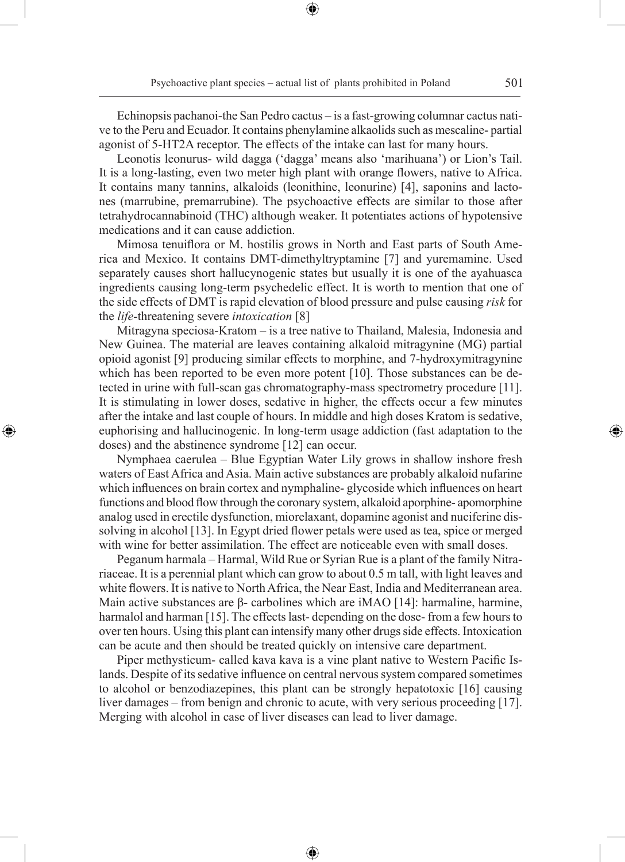Echinopsis pachanoi-the San Pedro cactus – is a fast-growing columnar cactus native to the Peru and Ecuador. It contains phenylamine alkaolids such as mescaline- partial agonist of 5-HT2A receptor. The effects of the intake can last for many hours.

⊕

Leonotis leonurus- wild dagga ('dagga' means also 'marihuana') or Lion's Tail. It is a long-lasting, even two meter high plant with orange flowers, native to Africa. It contains many tannins, alkaloids (leonithine, leonurine) [4], saponins and lactones (marrubine, premarrubine). The psychoactive effects are similar to those after tetrahydrocannabinoid (THC) although weaker. It potentiates actions of hypotensive medications and it can cause addiction.

Mimosa tenuiflora or M. hostilis grows in North and East parts of South America and Mexico. It contains DMT-dimethyltryptamine [7] and yuremamine. Used separately causes short hallucynogenic states but usually it is one of the ayahuasca ingredients causing long-term psychedelic effect. It is worth to mention that one of the side effects of DMT is rapid elevation of blood pressure and pulse causing *risk* for the *life-*threatening severe *intoxication* [8]

Mitragyna speciosa-Kratom – is a tree native to Thailand, Malesia, Indonesia and New Guinea. The material are leaves containing alkaloid mitragynine (MG) partial opioid agonist [9] producing similar effects to morphine, and 7-hydroxymitragynine which has been reported to be even more potent [10]. Those substances can be detected in urine with full-scan gas chromatography-mass spectrometry procedure [11]. It is stimulating in lower doses, sedative in higher, the effects occur a few minutes after the intake and last couple of hours. In middle and high doses Kratom is sedative, euphorising and hallucinogenic. In long-term usage addiction (fast adaptation to the doses) and the abstinence syndrome [12] can occur.

◈

Nymphaea caerulea – Blue Egyptian Water Lily grows in shallow inshore fresh waters of East Africa and Asia. Main active substances are probably alkaloid nufarine which influences on brain cortex and nymphaline- glycoside which influences on heart functions and blood flow through the coronary system, alkaloid aporphine- apomorphine analog used in erectile dysfunction, miorelaxant, dopamine agonist and nuciferine dissolving in alcohol [13]. In Egypt dried flower petals were used as tea, spice or merged with wine for better assimilation. The effect are noticeable even with small doses.

Peganum harmala – Harmal, Wild Rue or Syrian Rue is a plant of the family Nitrariaceae. It is a perennial plant which can grow to about 0.5 m tall, with light leaves and white flowers. It is native to North Africa, the Near East, India and Mediterranean area. Main active substances are β- carbolines which are iMAO [14]: harmaline, harmine, harmalol and harman [15]. The effects last-depending on the dose-from a few hours to over ten hours. Using this plant can intensify many other drugs side effects. Intoxication can be acute and then should be treated quickly on intensive care department.

Piper methysticum- called kava kava is a vine plant native to Western Pacific Islands. Despite of its sedative influence on central nervous system compared sometimes to alcohol or benzodiazepines, this plant can be strongly hepatotoxic [16] causing liver damages – from benign and chronic to acute, with very serious proceeding [17]. Merging with alcohol in case of liver diseases can lead to liver damage.

⊕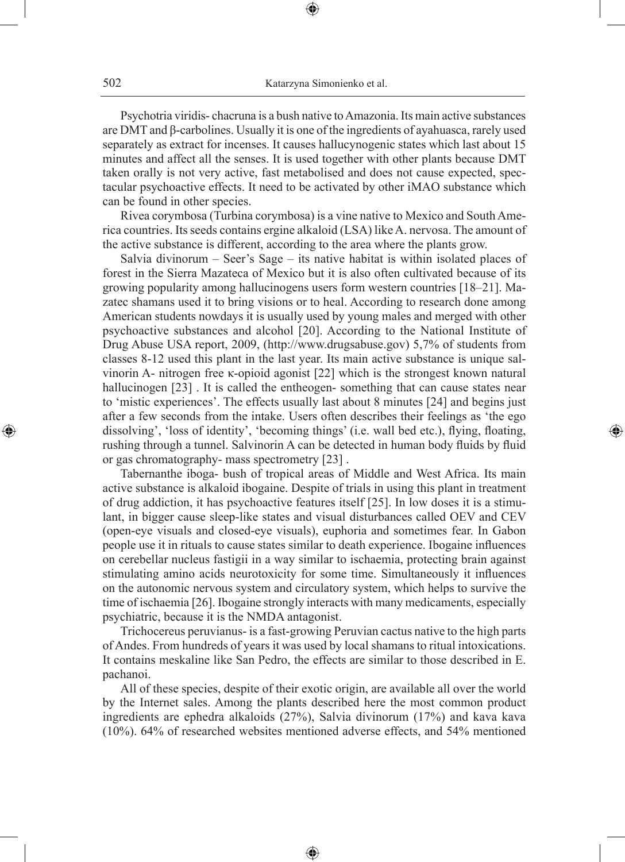⊕

Psychotria viridis- chacruna is a bush native to Amazonia. Its main active substances are DMT and β-carbolines. Usually it is one of the ingredients of ayahuasca, rarely used separately as extract for incenses. It causes hallucynogenic states which last about 15 minutes and affect all the senses. It is used together with other plants because DMT taken orally is not very active, fast metabolised and does not cause expected, spectacular psychoactive effects. It need to be activated by other iMAO substance which can be found in other species.

Rivea corymbosa (Turbina corymbosa) is a vine native to Mexico and South America countries. Its seeds contains ergine alkaloid (LSA) like A. nervosa. The amount of the active substance is different, according to the area where the plants grow.

Salvia divinorum – Seer's Sage – its native habitat is within isolated places of forest in the Sierra Mazateca of Mexico but it is also often cultivated because of its growing popularity among hallucinogens users form western countries [18–21]. Mazatec shamans used it to bring visions or to heal. According to research done among American students nowdays it is usually used by young males and merged with other psychoactive substances and alcohol [20]. According to the National Institute of Drug Abuse USA report, 2009, (http://www.drugsabuse.gov) 5,7% of students from classes 8-12 used this plant in the last year. Its main active substance is unique salvinorin A- nitrogen free κ-opioid agonist [22] which is the strongest known natural hallucinogen [23]. It is called the entheogen- something that can cause states near to 'mistic experiences'. The effects usually last about 8 minutes [24] and begins just after a few seconds from the intake. Users often describes their feelings as 'the ego dissolving', 'loss of identity', 'becoming things' (i.e. wall bed etc.), flying, floating, rushing through a tunnel. Salvinorin A can be detected in human body fluids by fluid or gas chromatography- mass spectrometry [23] .

◈

Tabernanthe iboga- bush of tropical areas of Middle and West Africa. Its main active substance is alkaloid ibogaine. Despite of trials in using this plant in treatment of drug addiction, it has psychoactive features itself [25]. In low doses it is a stimulant, in bigger cause sleep-like states and visual disturbances called OEV and CEV (open-eye visuals and closed-eye visuals), euphoria and sometimes fear. In Gabon people use it in rituals to cause states similar to death experience. Ibogaine influences on cerebellar nucleus fastigii in a way similar to ischaemia, protecting brain against stimulating amino acids neurotoxicity for some time. Simultaneously it influences on the autonomic nervous system and circulatory system, which helps to survive the time of ischaemia [26]. Ibogaine strongly interacts with many medicaments, especially psychiatric, because it is the NMDA antagonist.

Trichocereus peruvianus- is a fast-growing Peruvian cactus native to the high parts of Andes. From hundreds of years it was used by local shamans to ritual intoxications. It contains meskaline like San Pedro, the effects are similar to those described in E. pachanoi.

All of these species, despite of their exotic origin, are available all over the world by the Internet sales. Among the plants described here the most common product ingredients are ephedra alkaloids (27%), Salvia divinorum (17%) and kava kava (10%). 64% of researched websites mentioned adverse effects, and 54% mentioned

⊕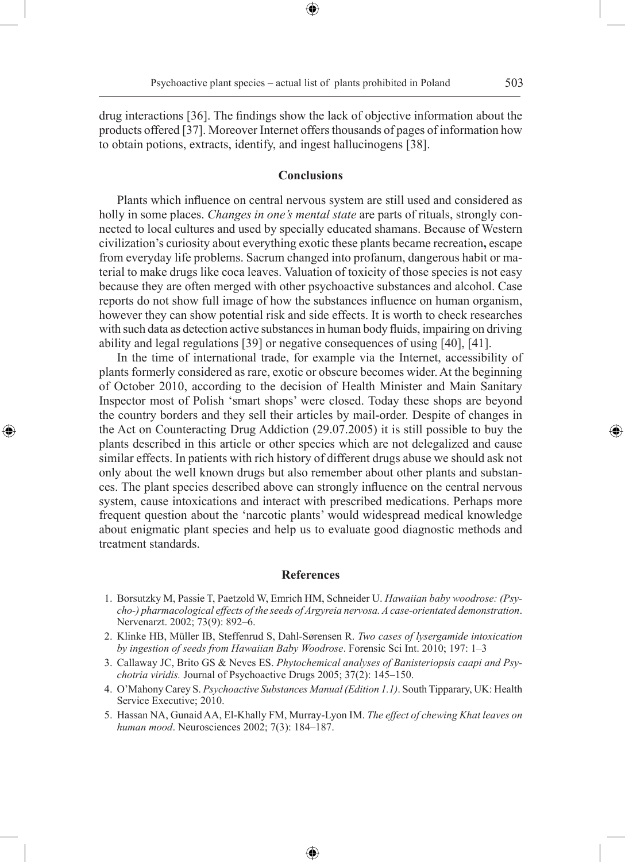drug interactions [36]. The findings show the lack of objective information about the products offered [37]. Moreover Internet offers thousands of pages of information how to obtain potions, extracts, identify, and ingest hallucinogens [38].

#### **Conclusions**

Plants which influence on central nervous system are still used and considered as holly in some places. *Changes in one's mental state* are parts of rituals, strongly connected to local cultures and used by specially educated shamans. Because of Western civilization's curiosity about everything exotic these plants became recreation**,** escape from everyday life problems. Sacrum changed into profanum, dangerous habit or material to make drugs like coca leaves. Valuation of toxicity of those species is not easy because they are often merged with other psychoactive substances and alcohol. Case reports do not show full image of how the substances influence on human organism, however they can show potential risk and side effects. It is worth to check researches with such data as detection active substances in human body fluids, impairing on driving ability and legal regulations [39] or negative consequences of using [40], [41].

In the time of international trade, for example via the Internet, accessibility of plants formerly considered as rare, exotic or obscure becomes wider. At the beginning of October 2010, according to the decision of Health Minister and Main Sanitary Inspector most of Polish 'smart shops' were closed. Today these shops are beyond the country borders and they sell their articles by mail-order. Despite of changes in the Act on Counteracting Drug Addiction (29.07.2005) it is still possible to buy the plants described in this article or other species which are not delegalized and cause similar effects. In patients with rich history of different drugs abuse we should ask not only about the well known drugs but also remember about other plants and substances. The plant species described above can strongly influence on the central nervous system, cause intoxications and interact with prescribed medications. Perhaps more frequent question about the 'narcotic plants' would widespread medical knowledge about enigmatic plant species and help us to evaluate good diagnostic methods and treatment standards.

◈

#### **References**

- 1. Borsutzky M, Passie T, Paetzold W, Emrich HM, Schneider U. *Hawaiian baby woodrose: (Psycho-) pharmacological effects of the seeds of Argyreia nervosa. A case-orientated demonstration*. Nervenarzt. 2002; 73(9): 892–6.
- 2. Klinke HB, Müller IB, Steffenrud S, Dahl-Sørensen R. *Two cases of lysergamide intoxication by ingestion of seeds from Hawaiian Baby Woodrose*. Forensic Sci Int. 2010; 197: 1–3
- 3. Callaway JC, Brito GS & Neves ES. *Phytochemical analyses of Banisteriopsis caapi and Psychotria viridis.* Journal of Psychoactive Drugs 2005; 37(2): 145–150.
- 4. O'Mahony Carey S. *Psychoactive Substances Manual (Edition 1.1)*. South Tipparary, UK: Health Service Executive; 2010.
- 5. Hassan NA, Gunaid AA, El-Khally FM, Murray-Lyon IM. *The effect of chewing Khat leaves on human mood*. Neurosciences 2002; 7(3): 184–187.

♠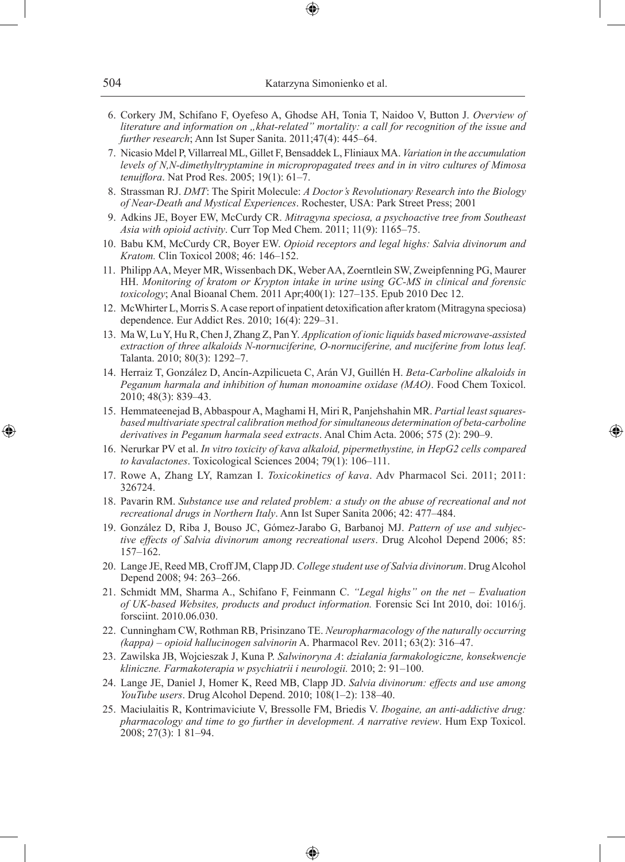- 6. Corkery JM, Schifano F, Oyefeso A, Ghodse AH, Tonia T, Naidoo V, Button J. *Overview of literature and information on "khat-related" mortality: a call for recognition of the issue and further research*; Ann Ist Super Sanita. 2011;47(4): 445–64.
- 7. Nicasio Mdel P, Villarreal ML, Gillet F, Bensaddek L, Fliniaux MA. *Variation in the accumulation levels of N,N-dimethyltryptamine in micropropagated trees and in in vitro cultures of Mimosa tenuiflora*. Nat Prod Res. 2005; 19(1): 61–7.
- 8. Strassman RJ. *DMT*: The Spirit Molecule: *A Doctor's Revolutionary Research into the Biology of Near-Death and Mystical Experiences*. Rochester, USA: Park Street Press; 2001
- 9. Adkins JE, Boyer EW, McCurdy CR. *Mitragyna speciosa, a psychoactive tree from Southeast Asia with opioid activity*. Curr Top Med Chem. 2011; 11(9): 1165–75.
- 10. Babu KM, McCurdy CR, Boyer EW. *Opioid receptors and legal highs: Salvia divinorum and Kratom.* Clin Toxicol 2008; 46: 146–152.
- 11. Philipp AA, Meyer MR, Wissenbach DK, Weber AA, Zoerntlein SW, Zweipfenning PG, Maurer HH. *Monitoring of kratom or Krypton intake in urine using GC-MS in clinical and forensic toxicology*; Anal Bioanal Chem. 2011 Apr;400(1): 127–135. Epub 2010 Dec 12.
- 12. McWhirter L, Morris S. A case report of inpatient detoxification after kratom (Mitragyna speciosa) dependence. Eur Addict Res. 2010; 16(4): 229–31.
- 13. Ma W, Lu Y, Hu R, Chen J, Zhang Z, Pan Y. *Application of ionic liquids based microwave-assisted extraction of three alkaloids N-nornuciferine, O-nornuciferine, and nuciferine from lotus leaf*. Talanta. 2010; 80(3): 1292–7.
- 14. Herraiz T, González D, Ancín-Azpilicueta C, Arán VJ, Guillén H. *Beta-Carboline alkaloids in Peganum harmala and inhibition of human monoamine oxidase (MAO)*. Food Chem Toxicol. 2010; 48(3): 839–43.
- 15. Hemmateenejad B, Abbaspour A, Maghami H, Miri R, Panjehshahin MR. *Partial least squaresbased multivariate spectral calibration method for simultaneous determination of beta-carboline derivatives in Peganum harmala seed extracts*. Anal Chim Acta. 2006; 575 (2): 290–9.

◈

- 16. Nerurkar PV et al. *In vitro toxicity of kava alkaloid, pipermethystine, in HepG2 cells compared to kavalactones*. Toxicological Sciences 2004; 79(1): 106–111.
- 17. Rowe A, Zhang LY, Ramzan I. *Toxicokinetics of kava*. Adv Pharmacol Sci. 2011; 2011: 326724.
- 18. Pavarin RM. *Substance use and related problem: a study on the abuse of recreational and not recreational drugs in Northern Italy*. Ann Ist Super Sanita 2006; 42: 477–484.
- 19. González D, Riba J, Bouso JC, Gómez-Jarabo G, Barbanoj MJ. *Pattern of use and subjective effects of Salvia divinorum among recreational users*. Drug Alcohol Depend 2006; 85: 157–162.
- 20. Lange JE, Reed MB, Croff JM, Clapp JD. *College student use of Salvia divinorum*. Drug Alcohol Depend 2008; 94: 263–266.
- 21. Schmidt MM, Sharma A., Schifano F, Feinmann C. *"Legal highs" on the net Evaluation of UK-based Websites, products and product information.* Forensic Sci Int 2010, doi: 1016/j. forsciint. 2010.06.030.
- 22. Cunningham CW, Rothman RB, Prisinzano TE. *Neuropharmacology of the naturally occurring (kappa) – opioid hallucinogen salvinorin* A. Pharmacol Rev. 2011; 63(2): 316–47.
- 23. Zawilska JB, Wojcieszak J, Kuna P. *Salwinoryna A*: *działania farmakologiczne, konsekwencje kliniczne. Farmakoterapia w psychiatrii i neurologii.* 2010; 2: 91–100.
- 24. Lange JE, Daniel J, Homer K, Reed MB, Clapp JD. *Salvia divinorum: effects and use among YouTube users*. Drug Alcohol Depend. 2010; 108(1–2): 138–40.
- 25. Maciulaitis R, Kontrimaviciute V, Bressolle FM, Briedis V. *Ibogaine, an anti-addictive drug: pharmacology and time to go further in development. A narrative review*. Hum Exp Toxicol. 2008; 27(3): 1 81–94.

♠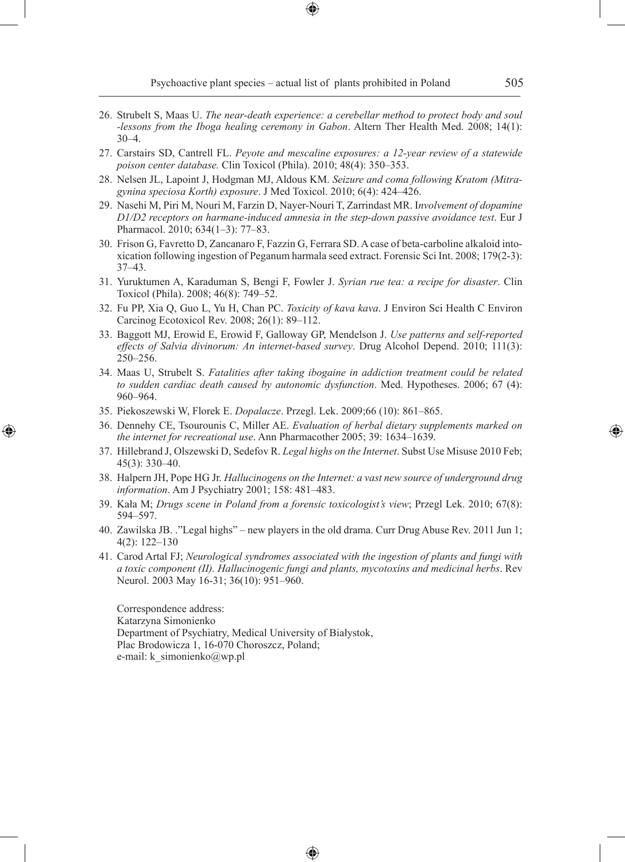Psychoactive plant species – actual list of plants prohibited in Poland 505

- 26. Strubelt S, Maas U. *The near-death experience: a cerebellar method to protect body and soul -lessons from the Iboga healing ceremony in Gabon*. Altern Ther Health Med. 2008; 14(1): 30–4.
- 27. Carstairs SD, Cantrell FL. *Peyote and mescaline exposures: a 12-year review of a statewide poison center database.* Clin Toxicol (Phila). 2010; 48(4): 350–353.
- 28. Nelsen JL, Lapoint J, Hodgman MJ, Aldous KM. *Seizure and coma following Kratom (Mitragynina speciosa Korth) exposure*. J Med Toxicol. 2010; 6(4): 424–426.
- 29. Nasehi M, Piri M, Nouri M, Farzin D, Nayer-Nouri T, Zarrindast MR. I*nvolvement of dopamine D1/D2 receptors on harmane-induced amnesia in the step-down passive avoidance test*. Eur J Pharmacol. 2010; 634(1–3): 77–83.
- 30. Frison G, Favretto D, Zancanaro F, Fazzin G, Ferrara SD. A case of beta-carboline alkaloid intoxication following ingestion of Peganum harmala seed extract. Forensic Sci Int. 2008; 179(2-3): 37–43.
- 31. Yuruktumen A, Karaduman S, Bengi F, Fowler J. *Syrian rue tea: a recipe for disaster*. Clin Toxicol (Phila). 2008; 46(8): 749–52.
- 32. Fu PP, Xia Q, Guo L, Yu H, Chan PC. *Toxicity of kava kava*. J Environ Sci Health C Environ Carcinog Ecotoxicol Rev. 2008; 26(1): 89–112.
- 33. Baggott MJ, Erowid E, Erowid F, Galloway GP, Mendelson J. *Use patterns and self-reported effects of Salvia divinorum: An internet-based survey*. Drug Alcohol Depend. 2010; 111(3): 250–256.
- 34. Maas U, Strubelt S. *Fatalities after taking ibogaine in addiction treatment could be related to sudden cardiac death caused by autonomic dysfunction*. Med. Hypotheses. 2006; 67 (4): 960–964.
- 35. Piekoszewski W, Florek E. *Dopalacze*. Przegl. Lek. 2009;66 (10): 861–865.

◈

- 36. Dennehy CE, Tsourounis C, Miller AE. *Evaluation of herbal dietary supplements marked on the internet for recreational use*. Ann Pharmacother 2005; 39: 1634–1639.
- 37. Hillebrand J, Olszewski D, Sedefov R. *Legal highs on the Internet*. Subst Use Misuse 2010 Feb; 45(3): 330–40.
- 38. Halpern JH, Pope HG Jr. *Hallucinogens on the Internet: a vast new source of underground drug information*. Am J Psychiatry 2001; 158: 481–483.
- 39. Kała M; *Drugs scene in Poland from a forensic toxicologist's view*; Przegl Lek. 2010; 67(8): 594–597.
- 40. Zawilska JB. ."Legal highs" new players in the old drama. Curr Drug Abuse Rev. 2011 Jun 1; 4(2): 122–130
- 41. Carod Artal FJ; *Neurological syndromes associated with the ingestion of plants and fungi with a toxic component (II). Hallucinogenic fungi and plants, mycotoxins and medicinal herbs*. Rev Neurol. 2003 May 16-31; 36(10): 951–960.

♠

Correspondence address: Katarzyna Simonienko Department of Psychiatry, Medical University of Białystok, Plac Brodowicza 1, 16-070 Choroszcz, Poland; e-mail: k\_simonienko@wp.pl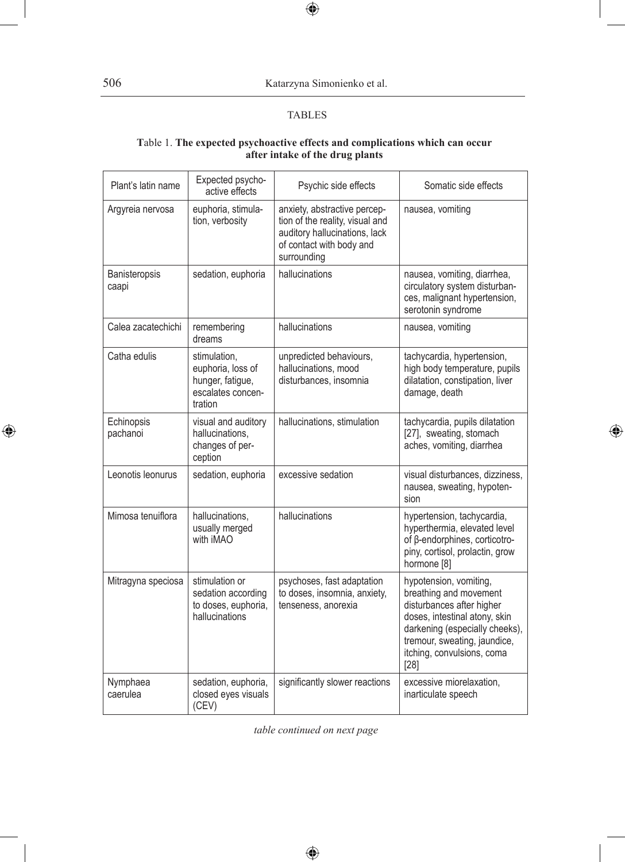506 Katarzyna Simonienko et al.

#### **TABLES**

 $\bigoplus$ 

#### **T**able 1. **The expected psychoactive effects and complications which can occur after intake of the drug plants**

| Plant's latin name     | Expected psycho-<br>active effects                                                    | Psychic side effects                                                                                                                        | Somatic side effects                                                                                                                                                                                                   |
|------------------------|---------------------------------------------------------------------------------------|---------------------------------------------------------------------------------------------------------------------------------------------|------------------------------------------------------------------------------------------------------------------------------------------------------------------------------------------------------------------------|
| Argyreia nervosa       | euphoria, stimula-<br>tion, verbosity                                                 | anxiety, abstractive percep-<br>tion of the reality, visual and<br>auditory hallucinations, lack<br>of contact with body and<br>surrounding | nausea, vomiting                                                                                                                                                                                                       |
| Banisteropsis<br>caapi | sedation, euphoria                                                                    | hallucinations                                                                                                                              | nausea, vomiting, diarrhea,<br>circulatory system disturban-<br>ces, malignant hypertension,<br>serotonin syndrome                                                                                                     |
| Calea zacatechichi     | remembering<br>dreams                                                                 | hallucinations                                                                                                                              | nausea, vomiting                                                                                                                                                                                                       |
| Catha edulis           | stimulation,<br>euphoria, loss of<br>hunger, fatigue,<br>escalates concen-<br>tration | unpredicted behaviours,<br>hallucinations, mood<br>disturbances, insomnia                                                                   | tachycardia, hypertension,<br>high body temperature, pupils<br>dilatation, constipation, liver<br>damage, death                                                                                                        |
| Echinopsis<br>pachanoi | visual and auditory<br>hallucinations.<br>changes of per-<br>ception                  | hallucinations, stimulation                                                                                                                 | tachycardia, pupils dilatation<br>[27], sweating, stomach<br>aches, vomiting, diarrhea                                                                                                                                 |
| Leonotis leonurus      | sedation, euphoria                                                                    | excessive sedation                                                                                                                          | visual disturbances, dizziness,<br>nausea, sweating, hypoten-<br>sion                                                                                                                                                  |
| Mimosa tenuiflora      | hallucinations.<br>usually merged<br>with iMAO                                        | hallucinations                                                                                                                              | hypertension, tachycardia,<br>hyperthermia, elevated level<br>of β-endorphines, corticotro-<br>piny, cortisol, prolactin, grow<br>hormone <sup>[8]</sup>                                                               |
| Mitragyna speciosa     | stimulation or<br>sedation according<br>to doses, euphoria,<br>hallucinations         | psychoses, fast adaptation<br>to doses, insomnia, anxiety,<br>tenseness, anorexia                                                           | hypotension, vomiting,<br>breathing and movement<br>disturbances after higher<br>doses, intestinal atony, skin<br>darkening (especially cheeks),<br>tremour, sweating, jaundice,<br>itching, convulsions, coma<br>[28] |
| Nymphaea<br>caerulea   | sedation, euphoria,<br>closed eyes visuals<br>(CEV)                                   | significantly slower reactions                                                                                                              | excessive miorelaxation,<br>inarticulate speech                                                                                                                                                                        |

 $\bigoplus$ 

*table continued on next page*

 $\bigoplus$ 

 $\bigoplus$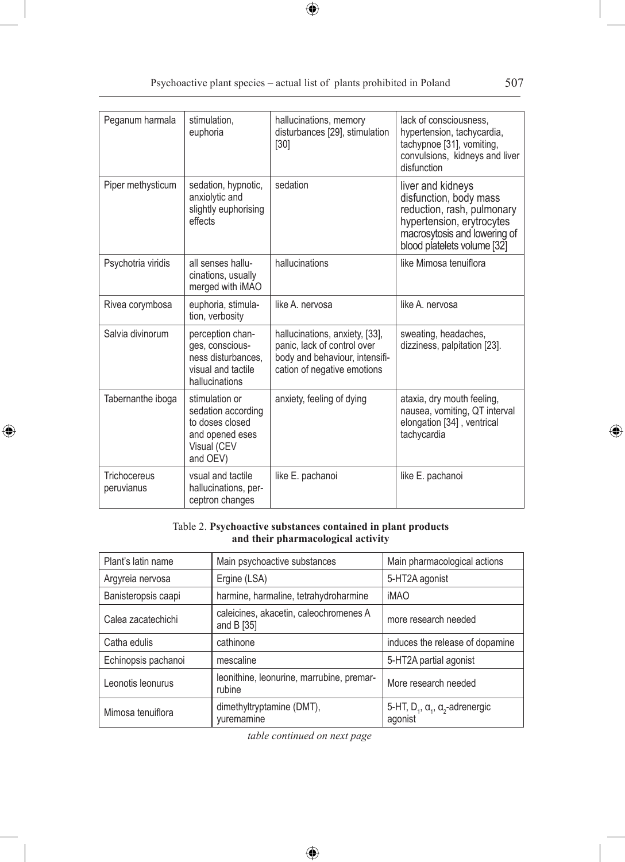$\bigoplus$ 

| Peganum harmala            | stimulation.<br>euphoria                                                                              | hallucinations, memory<br>disturbances [29], stimulation<br>$[30]$                                                             | lack of consciousness.<br>hypertension, tachycardia,<br>tachypnoe [31], vomiting,<br>convulsions, kidneys and liver<br>disfunction                                    |
|----------------------------|-------------------------------------------------------------------------------------------------------|--------------------------------------------------------------------------------------------------------------------------------|-----------------------------------------------------------------------------------------------------------------------------------------------------------------------|
| Piper methysticum          | sedation, hypnotic,<br>anxiolytic and<br>slightly euphorising<br>effects                              | sedation                                                                                                                       | liver and kidneys<br>disfunction, body mass<br>reduction, rash, pulmonary<br>hypertension, erytrocytes<br>macrosytosis and lowering of<br>blood platelets volume [32] |
| Psychotria viridis         | all senses hallu-<br>cinations, usually<br>merged with iMAO                                           | hallucinations                                                                                                                 | like Mimosa tenuiflora                                                                                                                                                |
| Rivea corymbosa            | euphoria, stimula-<br>tion, verbosity                                                                 | like A. nervosa                                                                                                                | like A. nervosa                                                                                                                                                       |
| Salvia divinorum           | perception chan-<br>ges, conscious-<br>ness disturbances.<br>visual and tactile<br>hallucinations     | hallucinations, anxiety, [33],<br>panic, lack of control over<br>body and behaviour, intensifi-<br>cation of negative emotions | sweating, headaches,<br>dizziness, palpitation [23].                                                                                                                  |
| Tabernanthe iboga          | stimulation or<br>sedation according<br>to doses closed<br>and opened eses<br>Visual (CEV<br>and OEV) | anxiety, feeling of dying                                                                                                      | ataxia, dry mouth feeling,<br>nausea, vomiting, QT interval<br>elongation [34], ventrical<br>tachycardia                                                              |
| Trichocereus<br>peruvianus | vsual and tactile<br>hallucinations, per-<br>ceptron changes                                          | like E. pachanoi                                                                                                               | like E. pachanoi                                                                                                                                                      |

### Table 2. **Psychoactive substances contained in plant products and their pharmacological activity**

 $\bigoplus$ 

| Plant's latin name  | Main psychoactive substances                           | Main pharmacological actions                                 |
|---------------------|--------------------------------------------------------|--------------------------------------------------------------|
| Argyreia nervosa    | Ergine (LSA)                                           | 5-HT2A agonist                                               |
| Banisteropsis caapi | harmine, harmaline, tetrahydroharmine                  | <b>iMAO</b>                                                  |
| Calea zacatechichi  | caleicines, akacetin, caleochromenes A<br>and $B$ [35] | more research needed                                         |
| Catha edulis        | cathinone                                              | induces the release of dopamine                              |
| Echinopsis pachanoi | mescaline                                              | 5-HT2A partial agonist                                       |
| Leonotis leonurus   | leonithine, leonurine, marrubine, premar-<br>rubine    | More research needed                                         |
| Mimosa tenuiflora   | dimethyltryptamine (DMT),<br>yuremamine                | 5-HT, $D_1$ , $\alpha_1$ , $\alpha_2$ -adrenergic<br>agonist |

*table continued on next page*

 $\bigoplus$ 

 $\bigoplus$